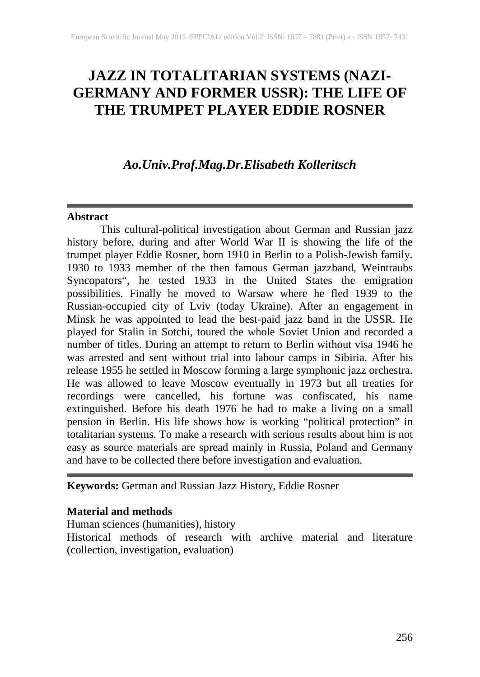# **JAZZ IN TOTALITARIAN SYSTEMS (NAZI-GERMANY AND FORMER USSR): THE LIFE OF THE TRUMPET PLAYER EDDIE ROSNER**

# *Ao.Univ.Prof.Mag.Dr.Elisabeth Kolleritsch*

#### **Abstract**

This cultural-political investigation about German and Russian jazz history before, during and after World War II is showing the life of the trumpet player Eddie Rosner, born 1910 in Berlin to a Polish-Jewish family. 1930 to 1933 member of the then famous German jazzband, Weintraubs Syncopators", he tested 1933 in the United States the emigration possibilities. Finally he moved to Warsaw where he fled 1939 to the Russian-occupied city of Lviv (today Ukraine). After an engagement in Minsk he was appointed to lead the best-paid jazz band in the USSR. He played for Stalin in Sotchi, toured the whole Soviet Union and recorded a number of titles. During an attempt to return to Berlin without visa 1946 he was arrested and sent without trial into labour camps in Sibiria. After his release 1955 he settled in Moscow forming a large symphonic jazz orchestra. He was allowed to leave Moscow eventually in 1973 but all treaties for recordings were cancelled, his fortune was confiscated, his name extinguished. Before his death 1976 he had to make a living on a small pension in Berlin. His life shows how is working "political protection" in totalitarian systems. To make a research with serious results about him is not easy as source materials are spread mainly in Russia, Poland and Germany and have to be collected there before investigation and evaluation.

**Keywords:** German and Russian Jazz History, Eddie Rosner

## **Material and methods**

Human sciences (humanities), history

Historical methods of research with archive material and literature (collection, investigation, evaluation)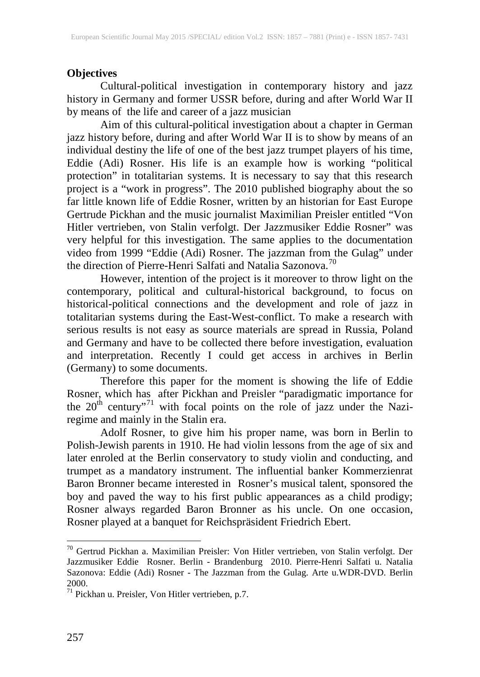### **Objectives**

Cultural-political investigation in contemporary history and jazz history in Germany and former USSR before, during and after World War II by means of the life and career of a jazz musician

Aim of this cultural-political investigation about a chapter in German jazz history before, during and after World War II is to show by means of an individual destiny the life of one of the best jazz trumpet players of his time, Eddie (Adi) Rosner. His life is an example how is working "political protection" in totalitarian systems. It is necessary to say that this research project is a "work in progress". The 2010 published biography about the so far little known life of Eddie Rosner, written by an historian for East Europe Gertrude Pickhan and the music journalist Maximilian Preisler entitled "Von Hitler vertrieben, von Stalin verfolgt. Der Jazzmusiker Eddie Rosner" was very helpful for this investigation. The same applies to the documentation video from 1999 "Eddie (Adi) Rosner. The jazzman from the Gulag" under the direction of Pierre-Henri Salfati and Natalia Sazonova.<sup>[70](#page--1-0)</sup>

However, intention of the project is it moreover to throw light on the contemporary, political and cultural-historical background, to focus on historical-political connections and the development and role of jazz in totalitarian systems during the East-West-conflict. To make a research with serious results is not easy as source materials are spread in Russia, Poland and Germany and have to be collected there before investigation, evaluation and interpretation. Recently I could get access in archives in Berlin (Germany) to some documents.

Therefore this paper for the moment is showing the life of Eddie Rosner, which has after Pickhan and Preisler "paradigmatic importance for the  $20<sup>th</sup>$  century"<sup>[71](#page-1-0)</sup> with focal points on the role of jazz under the Naziregime and mainly in the Stalin era.

Adolf Rosner, to give him his proper name, was born in Berlin to Polish-Jewish parents in 1910. He had violin lessons from the age of six and later enroled at the Berlin conservatory to study violin and conducting, and trumpet as a mandatory instrument. The influential banker Kommerzienrat Baron Bronner became interested in Rosner's musical talent, sponsored the boy and paved the way to his first public appearances as a child prodigy; Rosner always regarded Baron Bronner as his uncle. On one occasion, Rosner played at a banquet for Reichspräsident Friedrich Ebert.

<span id="page-1-1"></span><sup>70</sup> Gertrud Pickhan a. Maximilian Preisler: Von Hitler vertrieben, von Stalin verfolgt. Der Jazzmusiker Eddie Rosner. Berlin - Brandenburg 2010. Pierre-Henri Salfati u. Natalia Sazonova: Eddie (Adi) Rosner - The Jazzman from the Gulag. Arte u.WDR-DVD. Berlin 2000.

<span id="page-1-0"></span> $71$  Pickhan u. Preisler, Von Hitler vertrieben, p.7.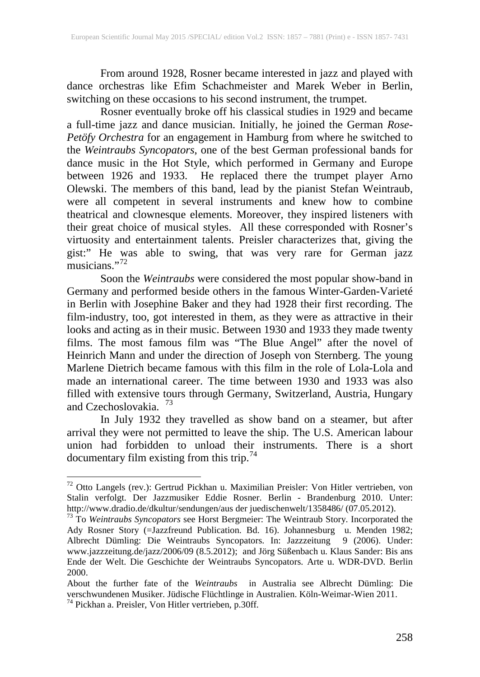From around 1928, Rosner became interested in jazz and played with dance orchestras like Efim Schachmeister and Marek Weber in Berlin, switching on these occasions to his second instrument, the trumpet.

Rosner eventually broke off his classical studies in 1929 and became a full-time jazz and dance musician. Initially, he joined the German *Rose-Petöfy Orchestra* for an engagement in Hamburg from where he switched to the *Weintraubs Syncopators*, one of the best German professional bands for dance music in the Hot Style, which performed in Germany and Europe between 1926 and 1933. He replaced there the trumpet player Arno Olewski. The members of this band, lead by the pianist Stefan Weintraub, were all competent in several instruments and knew how to combine theatrical and clownesque elements. Moreover, they inspired listeners with their great choice of musical styles. All these corresponded with Rosner's virtuosity and entertainment talents. Preisler characterizes that, giving the gist:" He was able to swing, that was very rare for German jazz musicians."<sup>[72](#page-1-1)</sup>

Soon the *Weintraubs* were considered the most popular show-band in Germany and performed beside others in the famous Winter-Garden-Varieté in Berlin with Josephine Baker and they had 1928 their first recording. The film-industry, too, got interested in them, as they were as attractive in their looks and acting as in their music. Between 1930 and 1933 they made twenty films. The most famous film was "The Blue Angel" after the novel of Heinrich Mann and under the direction of Joseph von Sternberg. The young Marlene Dietrich became famous with this film in the role of Lola-Lola and made an international career. The time between 1930 and 1933 was also filled with extensive tours through Germany, Switzerland, Austria, Hungary and Czechoslovakia. [73](#page-2-0)

In July 1932 they travelled as show band on a steamer, but after arrival they were not permitted to leave the ship. The U.S. American labour union had forbidden to unload their instruments. There is a short documentary film existing from this trip.<sup>[74](#page-2-1)</sup>

<sup>72</sup> Otto Langels (rev.): Gertrud Pickhan u. Maximilian Preisler: Von Hitler vertrieben, von Stalin verfolgt. Der Jazzmusiker Eddie Rosner. Berlin - Brandenburg 2010. Unter: http://www.dradio.de/dkultur/sendungen/aus der juedischenwelt/1358486/ (07.05.2012). <sup>73</sup> To *Weintraubs Syncopators* see Horst Bergmeier: The Weintraub Story. Incorporated the

<span id="page-2-0"></span>Ady Rosner Story (=Jazzfreund Publication. Bd. 16). Johannesburg u. Menden 1982; Albrecht Dümling: Die Weintraubs Syncopators. In: Jazzzeitung 9 (2006). Under: www.jazzzeitung.de/jazz/2006/09 (8.5.2012); and Jörg Süßenbach u. Klaus Sander: Bis ans Ende der Welt. Die Geschichte der Weintraubs Syncopators. Arte u. WDR-DVD. Berlin 2000.

<span id="page-2-2"></span>About the further fate of the *Weintraubs* in Australia see Albrecht Dümling: Die verschwundenen Musiker. Jüdische Flüchtlinge in Australien. Köln-Weimar-Wien 2011.<br><sup>74</sup> Pickhan a. Preisler, Von Hitler vertrieben, p.30ff.

<span id="page-2-1"></span>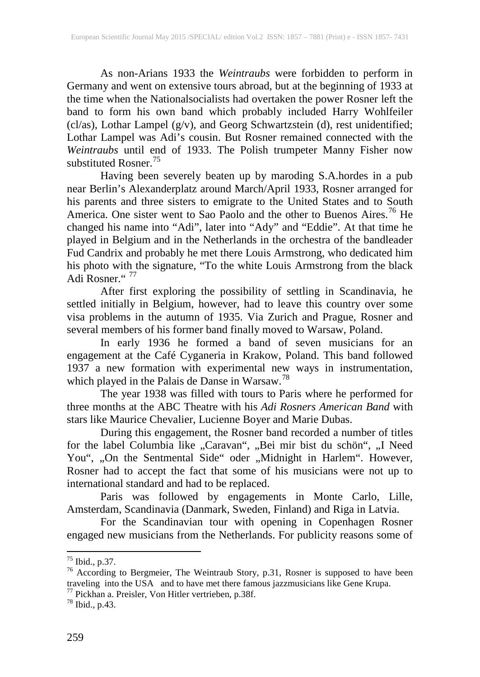As non-Arians 1933 the *Weintraubs* were forbidden to perform in Germany and went on extensive tours abroad, but at the beginning of 1933 at the time when the Nationalsocialists had overtaken the power Rosner left the band to form his own band which probably included Harry Wohlfeiler (cl/as), Lothar Lampel (g/v), and Georg Schwartzstein (d), rest unidentified; Lothar Lampel was Adi's cousin. But Rosner remained connected with the *Weintraubs* until end of 1933. The Polish trumpeter Manny Fisher now substituted Rosner.<sup>[75](#page-2-2)</sup>

Having been severely beaten up by maroding S.A.hordes in a pub near Berlin's Alexanderplatz around March/April 1933, Rosner arranged for his parents and three sisters to emigrate to the United States and to South America. One sister went to Sao Paolo and the other to Buenos Aires.<sup>[76](#page-3-0)</sup> He changed his name into "Adi", later into "Ady" and "Eddie". At that time he played in Belgium and in the Netherlands in the orchestra of the bandleader Fud Candrix and probably he met there Louis Armstrong, who dedicated him his photo with the signature, "To the white Louis Armstrong from the black Adi Rosner."<sup>[77](#page-3-1)</sup>

After first exploring the possibility of settling in Scandinavia, he settled initially in Belgium, however, had to leave this country over some visa problems in the autumn of 1935. Via Zurich and Prague, Rosner and several members of his former band finally moved to Warsaw, Poland.

In early 1936 he formed a band of seven musicians for an engagement at the Café Cyganeria in Krakow, Poland. This band followed 1937 a new formation with experimental new ways in instrumentation, which played in the Palais de Danse in Warsaw.<sup>[78](#page-3-2)</sup>

The year 1938 was filled with tours to Paris where he performed for three months at the ABC Theatre with his *Adi Rosners American Band* with stars like Maurice Chevalier, Lucienne Boyer and Marie Dubas.

During this engagement, the Rosner band recorded a number of titles for the label Columbia like "Caravan", "Bei mir bist du schön", "I Need You", "On the Sentmental Side" oder "Midnight in Harlem". However, Rosner had to accept the fact that some of his musicians were not up to international standard and had to be replaced.

Paris was followed by engagements in Monte Carlo, Lille, Amsterdam, Scandinavia (Danmark, Sweden, Finland) and Riga in Latvia.

For the Scandinavian tour with opening in Copenhagen Rosner engaged new musicians from the Netherlands. For publicity reasons some of

<span id="page-3-3"></span><span id="page-3-0"></span>

<sup>&</sup>lt;sup>75</sup> Ibid., p.37.<br><sup>76</sup> According to Bergmeier, The Weintraub Story, p.31, Rosner is supposed to have been traveling into the USA and to have met there famous jazzmusicians like Gene Krupa.<br><sup>77</sup> Pickhan a. Preisler, Von Hitler vertrieben, p.38f.<br><sup>78</sup> Ibid., p.43.

<span id="page-3-2"></span><span id="page-3-1"></span>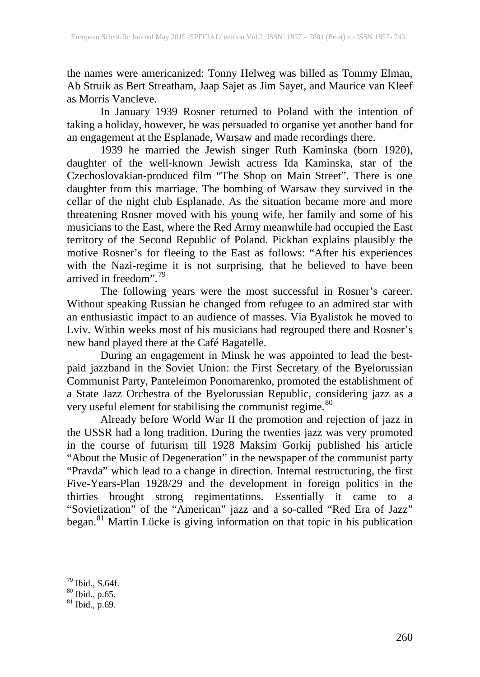the names were americanized: Tonny Helweg was billed as Tommy Elman, Ab Struik as Bert Streatham, Jaap Sajet as Jim Sayet, and Maurice van Kleef as Morris Vancleve.

In January 1939 Rosner returned to Poland with the intention of taking a holiday, however, he was persuaded to organise yet another band for an engagement at the Esplanade, Warsaw and made recordings there.

1939 he married the Jewish singer Ruth Kaminska (born 1920), daughter of the well-known Jewish actress Ida Kaminska, star of the Czechoslovakian-produced film "The Shop on Main Street". There is one daughter from this marriage. The bombing of Warsaw they survived in the cellar of the night club Esplanade. As the situation became more and more threatening Rosner moved with his young wife, her family and some of his musicians to the East, where the Red Army meanwhile had occupied the East territory of the Second Republic of Poland. Pickhan explains plausibly the motive Rosner's for fleeing to the East as follows: "After his experiences with the Nazi-regime it is not surprising, that he believed to have been arrived in freedom".<sup>[79](#page-3-3)</sup>

The following years were the most successful in Rosner's career. Without speaking Russian he changed from refugee to an admired star with an enthusiastic impact to an audience of masses. Via Byalistok he moved to Lviv. Within weeks most of his musicians had regrouped there and Rosner's new band played there at the Café Bagatelle.

During an engagement in Minsk he was appointed to lead the bestpaid jazzband in the Soviet Union: the First Secretary of the Byelorussian Communist Party, Panteleimon Ponomarenko, promoted the establishment of a State Jazz Orchestra of the Byelorussian Republic, considering jazz as a very useful element for stabilising the communist regime.<sup>[80](#page-4-0)</sup>

Already before World War II the promotion and rejection of jazz in the USSR had a long tradition. During the twenties jazz was very promoted in the course of futurism till 1928 Maksim Gorkij published his article "About the Music of Degeneration" in the newspaper of the communist party "Pravda" which lead to a change in direction. Internal restructuring, the first Five-Years-Plan 1928/29 and the development in foreign politics in the thirties brought strong regimentations. Essentially it came to a "Sovietization" of the "American" jazz and a so-called "Red Era of Jazz" began.<sup>[81](#page-4-1)</sup> Martin Lücke is giving information on that topic in his publication

<span id="page-4-2"></span> $^{79}$  Ibid., S.64f.<br> $^{80}$  Ibid., p.65.<br> $^{81}$  Ibid., p.69.

<span id="page-4-0"></span>

<span id="page-4-1"></span>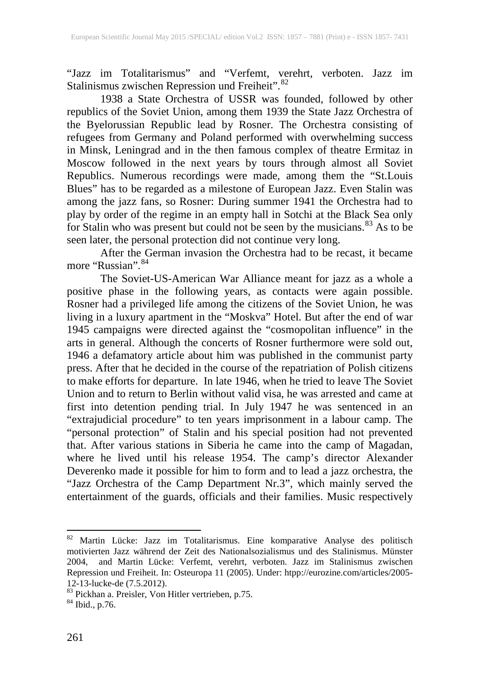"Jazz im Totalitarismus" and "Verfemt, verehrt, verboten. Jazz im Stalinismus zwischen Repression und Freiheit". [82](#page-4-2)

1938 a State Orchestra of USSR was founded, followed by other republics of the Soviet Union, among them 1939 the State Jazz Orchestra of the Byelorussian Republic lead by Rosner. The Orchestra consisting of refugees from Germany and Poland performed with overwhelming success in Minsk, Leningrad and in the then famous complex of theatre Ermitaz in Moscow followed in the next years by tours through almost all Soviet Republics. Numerous recordings were made, among them the "St.Louis Blues" has to be regarded as a milestone of European Jazz. Even Stalin was among the jazz fans, so Rosner: During summer 1941 the Orchestra had to play by order of the regime in an empty hall in Sotchi at the Black Sea only for Stalin who was present but could not be seen by the musicians.<sup>[83](#page-5-0)</sup> As to be seen later, the personal protection did not continue very long.

After the German invasion the Orchestra had to be recast, it became more "Russian". [84](#page-5-1)

The Soviet-US-American War Alliance meant for jazz as a whole a positive phase in the following years, as contacts were again possible. Rosner had a privileged life among the citizens of the Soviet Union, he was living in a luxury apartment in the "Moskva" Hotel. But after the end of war 1945 campaigns were directed against the "cosmopolitan influence" in the arts in general. Although the concerts of Rosner furthermore were sold out, 1946 a defamatory article about him was published in the communist party press. After that he decided in the course of the repatriation of Polish citizens to make efforts for departure. In late 1946, when he tried to leave The Soviet Union and to return to Berlin without valid visa, he was arrested and came at first into detention pending trial. In July 1947 he was sentenced in an "extrajudicial procedure" to ten years imprisonment in a labour camp. The "personal protection" of Stalin and his special position had not prevented that. After various stations in Siberia he came into the camp of Magadan, where he lived until his release 1954. The camp's director Alexander Deverenko made it possible for him to form and to lead a jazz orchestra, the "Jazz Orchestra of the Camp Department Nr.3", which mainly served the entertainment of the guards, officials and their families. Music respectively

<sup>82</sup> Martin Lücke: Jazz im Totalitarismus. Eine komparative Analyse des politisch motivierten Jazz während der Zeit des Nationalsozialismus und des Stalinismus. Münster 2004, and Martin Lücke: Verfemt, verehrt, verboten. Jazz im Stalinismus zwischen Repression und Freiheit. In: Osteuropa 11 (2005). Under: htpp://eurozine.com/articles/2005-

<span id="page-5-2"></span><span id="page-5-0"></span><sup>12-13-</sup>lucke-de (7.5.2012).<br><sup>83</sup> Pickhan a. Preisler, Von Hitler vertrieben, p.75.<br><sup>84</sup> Ibid., p.76.

<span id="page-5-1"></span>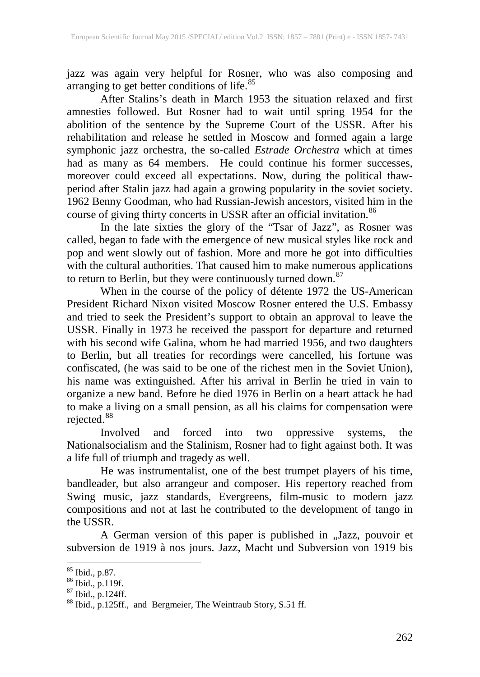jazz was again very helpful for Rosner, who was also composing and arranging to get better conditions of life.<sup>[85](#page-5-2)</sup>

After Stalins's death in March 1953 the situation relaxed and first amnesties followed. But Rosner had to wait until spring 1954 for the abolition of the sentence by the Supreme Court of the USSR. After his rehabilitation and release he settled in Moscow and formed again a large symphonic jazz orchestra, the so-called *Estrade Orchestra* which at times had as many as 64 members. He could continue his former successes, moreover could exceed all expectations. Now, during the political thawperiod after Stalin jazz had again a growing popularity in the soviet society. 1962 Benny Goodman, who had Russian-Jewish ancestors, visited him in the course of giving thirty concerts in USSR after an official invitation.<sup>[86](#page-6-0)</sup>

In the late sixties the glory of the "Tsar of Jazz", as Rosner was called, began to fade with the emergence of new musical styles like rock and pop and went slowly out of fashion. More and more he got into difficulties with the cultural authorities. That caused him to make numerous applications to return to Berlin, but they were continuously turned down.<sup>[87](#page-6-1)</sup>

When in the course of the policy of détente 1972 the US-American President Richard Nixon visited Moscow Rosner entered the U.S. Embassy and tried to seek the President's support to obtain an approval to leave the USSR. Finally in 1973 he received the passport for departure and returned with his second wife Galina, whom he had married 1956, and two daughters to Berlin, but all treaties for recordings were cancelled, his fortune was confiscated, (he was said to be one of the richest men in the Soviet Union), his name was extinguished. After his arrival in Berlin he tried in vain to organize a new band. Before he died 1976 in Berlin on a heart attack he had to make a living on a small pension, as all his claims for compensation were rejected.  $88$ 

Involved and forced into two oppressive systems, the Nationalsocialism and the Stalinism, Rosner had to fight against both. It was a life full of triumph and tragedy as well.

He was instrumentalist, one of the best trumpet players of his time, bandleader, but also arrangeur and composer. His repertory reached from Swing music, jazz standards, Evergreens, film-music to modern jazz compositions and not at last he contributed to the development of tango in the USSR.

A German version of this paper is published in "Jazz, pouvoir et subversion de 1919 à nos jours. Jazz, Macht und Subversion von 1919 bis

<span id="page-6-2"></span><span id="page-6-1"></span>

<span id="page-6-0"></span><sup>&</sup>lt;sup>85</sup> Ibid., p.87.<br><sup>86</sup> Ibid., p.119f.<br><sup>87</sup> Ibid., p.124ff.<br><sup>88</sup> Ibid., p.125ff., and Bergmeier, The Weintraub Story, S.51 ff.